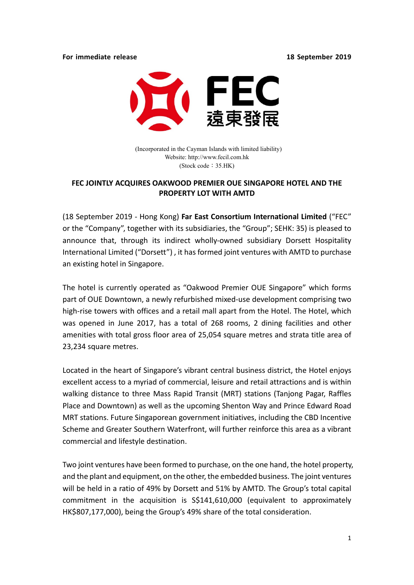**For immediate release 18 September 2019**



(Incorporated in the Cayman Islands with limited liability) Website: http://www.fecil.com.hk (Stock code: 35.HK)

# **FEC JOINTLY ACQUIRES OAKWOOD PREMIER OUE SINGAPORE HOTEL AND THE PROPERTY LOT WITH AMTD**

(18 September 2019 - Hong Kong) **Far East Consortium International Limited** ("FEC" or the "Company", together with its subsidiaries, the "Group"; SEHK: 35) is pleased to announce that, through its indirect wholly-owned subsidiary Dorsett Hospitality International Limited ("Dorsett") , it has formed joint ventures with AMTD to purchase an existing hotel in Singapore.

The hotel is currently operated as "Oakwood Premier OUE Singapore" which forms part of OUE Downtown, a newly refurbished mixed-use development comprising two high-rise towers with offices and a retail mall apart from the Hotel. The Hotel, which was opened in June 2017, has a total of 268 rooms, 2 dining facilities and other amenities with total gross floor area of 25,054 square metres and strata title area of 23,234 square metres.

Located in the heart of Singapore's vibrant central business district, the Hotel enjoys excellent access to a myriad of commercial, leisure and retail attractions and is within walking distance to three Mass Rapid Transit (MRT) stations (Tanjong Pagar, Raffles Place and Downtown) as well as the upcoming Shenton Way and Prince Edward Road MRT stations. Future Singaporean government initiatives, including the CBD Incentive Scheme and Greater Southern Waterfront, will further reinforce this area as a vibrant commercial and lifestyle destination.

Two joint ventures have been formed to purchase, on the one hand, the hotel property, and the plant and equipment, on the other, the embedded business. The joint ventures will be held in a ratio of 49% by Dorsett and 51% by AMTD. The Group's total capital commitment in the acquisition is S\$141,610,000 (equivalent to approximately HK\$807,177,000), being the Group's 49% share of the total consideration.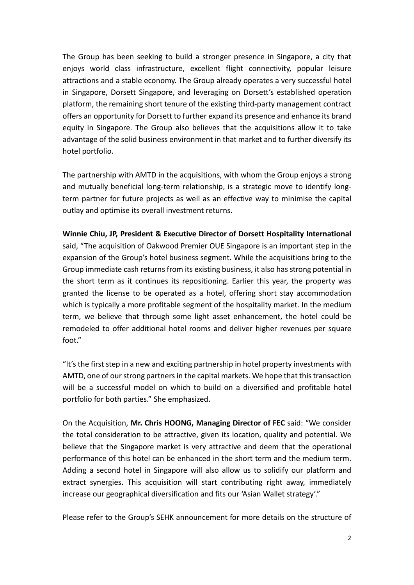The Group has been seeking to build a stronger presence in Singapore, a city that enjoys world class infrastructure, excellent flight connectivity, popular leisure attractions and a stable economy. The Group already operates a very successful hotel in Singapore, Dorsett Singapore, and leveraging on Dorsett's established operation platform, the remaining short tenure of the existing third-party management contract offers an opportunity for Dorsett to further expand its presence and enhance its brand equity in Singapore. The Group also believes that the acquisitions allow it to take advantage of the solid business environment in that market and to further diversify its hotel portfolio.

The partnership with AMTD in the acquisitions, with whom the Group enjoys a strong and mutually beneficial long-term relationship, is a strategic move to identify longterm partner for future projects as well as an effective way to minimise the capital outlay and optimise its overall investment returns.

**Winnie Chiu, JP, President & Executive Director of Dorsett Hospitality International**  said, "The acquisition of Oakwood Premier OUE Singapore is an important step in the expansion of the Group's hotel business segment. While the acquisitions bring to the Group immediate cash returns from its existing business, it also has strong potential in the short term as it continues its repositioning. Earlier this year, the property was granted the license to be operated as a hotel, offering short stay accommodation which is typically a more profitable segment of the hospitality market. In the medium term, we believe that through some light asset enhancement, the hotel could be remodeled to offer additional hotel rooms and deliver higher revenues per square foot."

"It's the first step in a new and exciting partnership in hotel property investments with AMTD, one of our strong partners in the capital markets. We hope that this transaction will be a successful model on which to build on a diversified and profitable hotel portfolio for both parties." She emphasized.

On the Acquisition, **Mr. Chris HOONG, Managing Director of FEC** said: "We consider the total consideration to be attractive, given its location, quality and potential. We believe that the Singapore market is very attractive and deem that the operational performance of this hotel can be enhanced in the short term and the medium term. Adding a second hotel in Singapore will also allow us to solidify our platform and extract synergies. This acquisition will start contributing right away, immediately increase our geographical diversification and fits our 'Asian Wallet strategy'."

Please refer to the Group's SEHK announcement for more details on the structure of